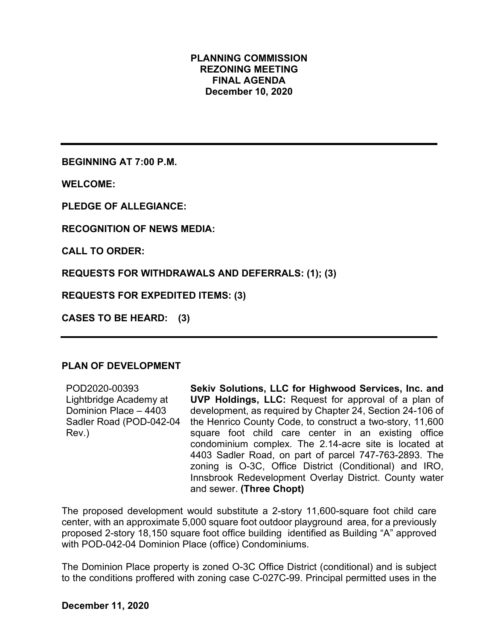# **PLANNING COMMISSION REZONING MEETING FINAL AGENDA December 10, 2020**

**BEGINNING AT 7:00 P.M.**

**WELCOME:**

**PLEDGE OF ALLEGIANCE:**

**RECOGNITION OF NEWS MEDIA:**

**CALL TO ORDER:**

**REQUESTS FOR WITHDRAWALS AND DEFERRALS: (1); (3)** 

**REQUESTS FOR EXPEDITED ITEMS: (3)** 

**CASES TO BE HEARD: (3)**

#### **PLAN OF DEVELOPMENT**

POD2020-00393 Lightbridge Academy at Dominion Place – 4403 Sadler Road (POD-042-04 Rev.) **Sekiv Solutions, LLC for Highwood Services, Inc. and UVP Holdings, LLC:** Request for approval of a plan of development, as required by Chapter 24, Section 24-106 of the Henrico County Code, to construct a two-story, 11,600 square foot child care center in an existing office condominium complex. The 2.14-acre site is located at 4403 Sadler Road, on part of parcel 747-763-2893. The zoning is O-3C, Office District (Conditional) and IRO, Innsbrook Redevelopment Overlay District. County water and sewer. **(Three Chopt)**

The proposed development would substitute a 2-story 11,600-square foot child care center, with an approximate 5,000 square foot outdoor playground area, for a previously proposed 2-story 18,150 square foot office building identified as Building "A" approved with POD-042-04 Dominion Place (office) Condominiums.

The Dominion Place property is zoned O-3C Office District (conditional) and is subject to the conditions proffered with zoning case C-027C-99. Principal permitted uses in the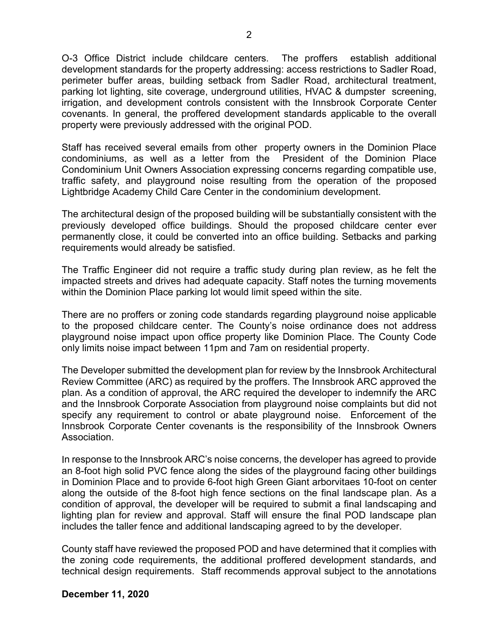O-3 Office District include childcare centers. The proffers establish additional development standards for the property addressing: access restrictions to Sadler Road, perimeter buffer areas, building setback from Sadler Road, architectural treatment, parking lot lighting, site coverage, underground utilities, HVAC & dumpster screening, irrigation, and development controls consistent with the Innsbrook Corporate Center covenants. In general, the proffered development standards applicable to the overall property were previously addressed with the original POD.

Staff has received several emails from other property owners in the Dominion Place condominiums, as well as a letter from the President of the Dominion Place Condominium Unit Owners Association expressing concerns regarding compatible use, traffic safety, and playground noise resulting from the operation of the proposed Lightbridge Academy Child Care Center in the condominium development.

The architectural design of the proposed building will be substantially consistent with the previously developed office buildings. Should the proposed childcare center ever permanently close, it could be converted into an office building. Setbacks and parking requirements would already be satisfied.

The Traffic Engineer did not require a traffic study during plan review, as he felt the impacted streets and drives had adequate capacity. Staff notes the turning movements within the Dominion Place parking lot would limit speed within the site.

There are no proffers or zoning code standards regarding playground noise applicable to the proposed childcare center. The County's noise ordinance does not address playground noise impact upon office property like Dominion Place. The County Code only limits noise impact between 11pm and 7am on residential property.

The Developer submitted the development plan for review by the Innsbrook Architectural Review Committee (ARC) as required by the proffers. The Innsbrook ARC approved the plan. As a condition of approval, the ARC required the developer to indemnify the ARC and the Innsbrook Corporate Association from playground noise complaints but did not specify any requirement to control or abate playground noise. Enforcement of the Innsbrook Corporate Center covenants is the responsibility of the Innsbrook Owners Association.

In response to the Innsbrook ARC's noise concerns, the developer has agreed to provide an 8-foot high solid PVC fence along the sides of the playground facing other buildings in Dominion Place and to provide 6-foot high Green Giant arborvitaes 10-foot on center along the outside of the 8-foot high fence sections on the final landscape plan. As a condition of approval, the developer will be required to submit a final landscaping and lighting plan for review and approval. Staff will ensure the final POD landscape plan includes the taller fence and additional landscaping agreed to by the developer.

County staff have reviewed the proposed POD and have determined that it complies with the zoning code requirements, the additional proffered development standards, and technical design requirements. Staff recommends approval subject to the annotations

#### **December 11, 2020**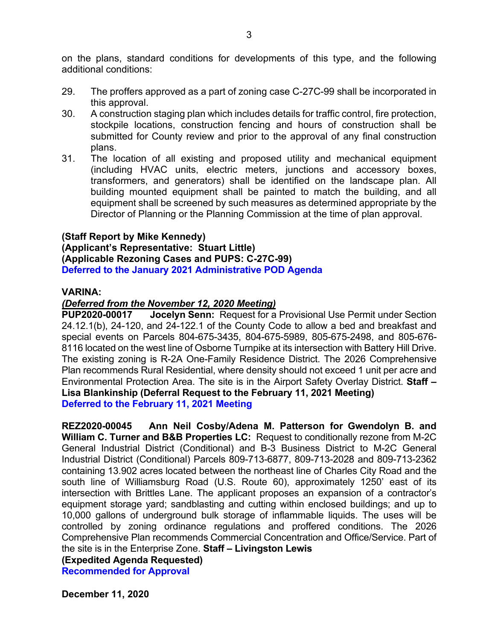on the plans, standard conditions for developments of this type, and the following additional conditions:

- 29. The proffers approved as a part of zoning case C-27C-99 shall be incorporated in this approval.
- 30. A construction staging plan which includes details for traffic control, fire protection, stockpile locations, construction fencing and hours of construction shall be submitted for County review and prior to the approval of any final construction plans.
- 31. The location of all existing and proposed utility and mechanical equipment (including HVAC units, electric meters, junctions and accessory boxes, transformers, and generators) shall be identified on the landscape plan. All building mounted equipment shall be painted to match the building, and all equipment shall be screened by such measures as determined appropriate by the Director of Planning or the Planning Commission at the time of plan approval.

# **(Staff Report by Mike Kennedy)**

**(Applicant's Representative: Stuart Little) (Applicable Rezoning Cases and PUPS: C-27C-99) Deferred to the January 2021 Administrative POD Agenda**

# **VARINA:**

# *(Deferred from the November 12, 2020 Meeting)*

**PUP2020-00017 Jocelyn Senn:** Request for a Provisional Use Permit under Section 24.12.1(b), 24-120, and 24-122.1 of the County Code to allow a bed and breakfast and special events on Parcels 804-675-3435, 804-675-5989, 805-675-2498, and 805-676- 8116 located on the west line of Osborne Turnpike at its intersection with Battery Hill Drive. The existing zoning is R-2A One-Family Residence District. The 2026 Comprehensive Plan recommends Rural Residential, where density should not exceed 1 unit per acre and Environmental Protection Area. The site is in the Airport Safety Overlay District. **Staff – Lisa Blankinship (Deferral Request to the February 11, 2021 Meeting) Deferred to the February 11, 2021 Meeting**

**REZ2020-00045 Ann Neil Cosby/Adena M. Patterson for Gwendolyn B. and William C. Turner and B&B Properties LC:** Request to conditionally rezone from M-2C General Industrial District (Conditional) and B-3 Business District to M-2C General Industrial District (Conditional) Parcels 809-713-6877, 809-713-2028 and 809-713-2362 containing 13.902 acres located between the northeast line of Charles City Road and the south line of Williamsburg Road (U.S. Route 60), approximately 1250' east of its intersection with Brittles Lane. The applicant proposes an expansion of a contractor's equipment storage yard; sandblasting and cutting within enclosed buildings; and up to 10,000 gallons of underground bulk storage of inflammable liquids. The uses will be controlled by zoning ordinance regulations and proffered conditions. The 2026 Comprehensive Plan recommends Commercial Concentration and Office/Service. Part of the site is in the Enterprise Zone. **Staff – Livingston Lewis**

**(Expedited Agenda Requested) Recommended for Approval**

**December 11, 2020**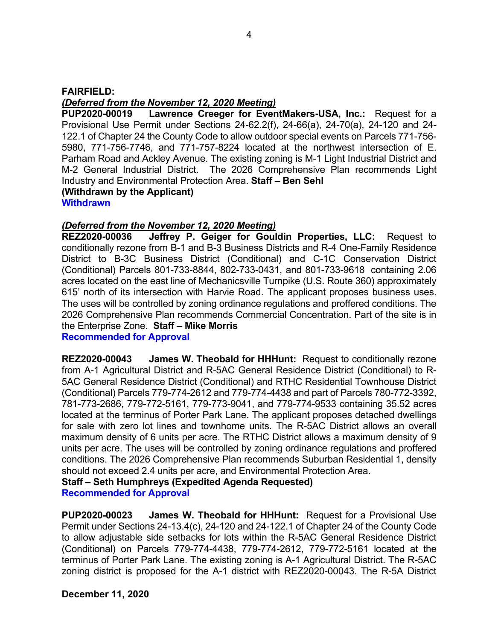#### **FAIRFIELD:** *(Deferred from the November 12, 2020 Meeting)*

**PUP2020-00019 Lawrence Creeger for EventMakers-USA, Inc.:** Request for a Provisional Use Permit under Sections 24-62.2(f), 24-66(a), 24-70(a), 24-120 and 24- 122.1 of Chapter 24 the County Code to allow outdoor special events on Parcels 771-756- 5980, 771-756-7746, and 771-757-8224 located at the northwest intersection of E. Parham Road and Ackley Avenue. The existing zoning is M-1 Light Industrial District and M-2 General Industrial District. The 2026 Comprehensive Plan recommends Light Industry and Environmental Protection Area. **Staff – Ben Sehl (Withdrawn by the Applicant)**

**Withdrawn** 

# *(Deferred from the November 12, 2020 Meeting)*

**REZ2020-00036 Jeffrey P. Geiger for Gouldin Properties, LLC:** Request to conditionally rezone from B-1 and B-3 Business Districts and R-4 One-Family Residence District to B-3C Business District (Conditional) and C-1C Conservation District (Conditional) Parcels 801-733-8844, 802-733-0431, and 801-733-9618 containing 2.06 acres located on the east line of Mechanicsville Turnpike (U.S. Route 360) approximately 615' north of its intersection with Harvie Road. The applicant proposes business uses. The uses will be controlled by zoning ordinance regulations and proffered conditions. The 2026 Comprehensive Plan recommends Commercial Concentration. Part of the site is in the Enterprise Zone. **Staff – Mike Morris Recommended for Approval**

**REZ2020-00043 James W. Theobald for HHHunt:** Request to conditionally rezone from A-1 Agricultural District and R-5AC General Residence District (Conditional) to R-5AC General Residence District (Conditional) and RTHC Residential Townhouse District (Conditional) Parcels 779-774-2612 and 779-774-4438 and part of Parcels 780-772-3392, 781-773-2686, 779-772-5161, 779-773-9041, and 779-774-9533 containing 35.52 acres located at the terminus of Porter Park Lane. The applicant proposes detached dwellings for sale with zero lot lines and townhome units. The R-5AC District allows an overall maximum density of 6 units per acre. The RTHC District allows a maximum density of 9 units per acre. The uses will be controlled by zoning ordinance regulations and proffered conditions. The 2026 Comprehensive Plan recommends Suburban Residential 1, density should not exceed 2.4 units per acre, and Environmental Protection Area.

**Staff – Seth Humphreys (Expedited Agenda Requested)**

**Recommended for Approval**

**PUP2020-00023 James W. Theobald for HHHunt:** Request for a Provisional Use Permit under Sections 24-13.4(c), 24-120 and 24-122.1 of Chapter 24 of the County Code to allow adjustable side setbacks for lots within the R-5AC General Residence District (Conditional) on Parcels 779-774-4438, 779-774-2612, 779-772-5161 located at the terminus of Porter Park Lane. The existing zoning is A-1 Agricultural District. The R-5AC zoning district is proposed for the A-1 district with REZ2020-00043. The R-5A District

**December 11, 2020**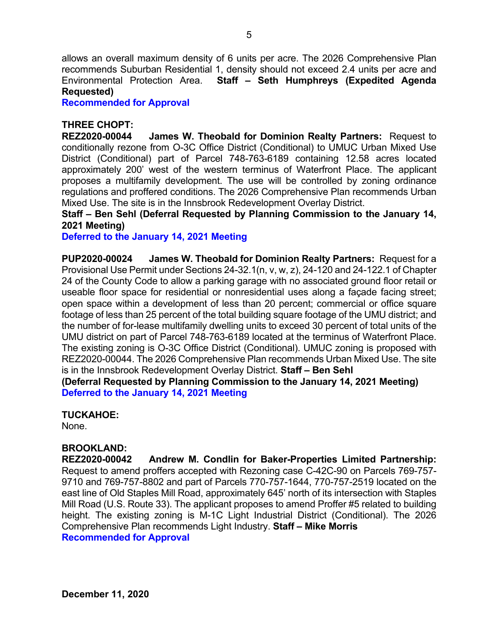allows an overall maximum density of 6 units per acre. The 2026 Comprehensive Plan recommends Suburban Residential 1, density should not exceed 2.4 units per acre and Environmental Protection Area. **Staff – Seth Humphreys (Expedited Agenda Requested)**

**Recommended for Approval**

#### **THREE CHOPT:**

**REZ2020-00044 James W. Theobald for Dominion Realty Partners:** Request to conditionally rezone from O-3C Office District (Conditional) to UMUC Urban Mixed Use District (Conditional) part of Parcel 748-763-6189 containing 12.58 acres located approximately 200' west of the western terminus of Waterfront Place. The applicant proposes a multifamily development. The use will be controlled by zoning ordinance regulations and proffered conditions. The 2026 Comprehensive Plan recommends Urban Mixed Use. The site is in the Innsbrook Redevelopment Overlay District.

**Staff – Ben Sehl (Deferral Requested by Planning Commission to the January 14, 2021 Meeting)**

**Deferred to the January 14, 2021 Meeting**

**PUP2020-00024 James W. Theobald for Dominion Realty Partners:** Request for a Provisional Use Permit under Sections 24-32.1(n, v, w, z), 24-120 and 24-122.1 of Chapter 24 of the County Code to allow a parking garage with no associated ground floor retail or useable floor space for residential or nonresidential uses along a façade facing street; open space within a development of less than 20 percent; commercial or office square footage of less than 25 percent of the total building square footage of the UMU district; and the number of for-lease multifamily dwelling units to exceed 30 percent of total units of the UMU district on part of Parcel 748-763-6189 located at the terminus of Waterfront Place. The existing zoning is O-3C Office District (Conditional). UMUC zoning is proposed with REZ2020-00044. The 2026 Comprehensive Plan recommends Urban Mixed Use. The site is in the Innsbrook Redevelopment Overlay District. **Staff – Ben Sehl**

**(Deferral Requested by Planning Commission to the January 14, 2021 Meeting) Deferred to the January 14, 2021 Meeting**

**TUCKAHOE:**

None.

# **BROOKLAND:**

**REZ2020-00042 Andrew M. Condlin for Baker-Properties Limited Partnership:** Request to amend proffers accepted with Rezoning case C-42C-90 on Parcels 769-757- 9710 and 769-757-8802 and part of Parcels 770-757-1644, 770-757-2519 located on the east line of Old Staples Mill Road, approximately 645' north of its intersection with Staples Mill Road (U.S. Route 33). The applicant proposes to amend Proffer #5 related to building height. The existing zoning is M-1C Light Industrial District (Conditional). The 2026 Comprehensive Plan recommends Light Industry. **Staff – Mike Morris Recommended for Approval**